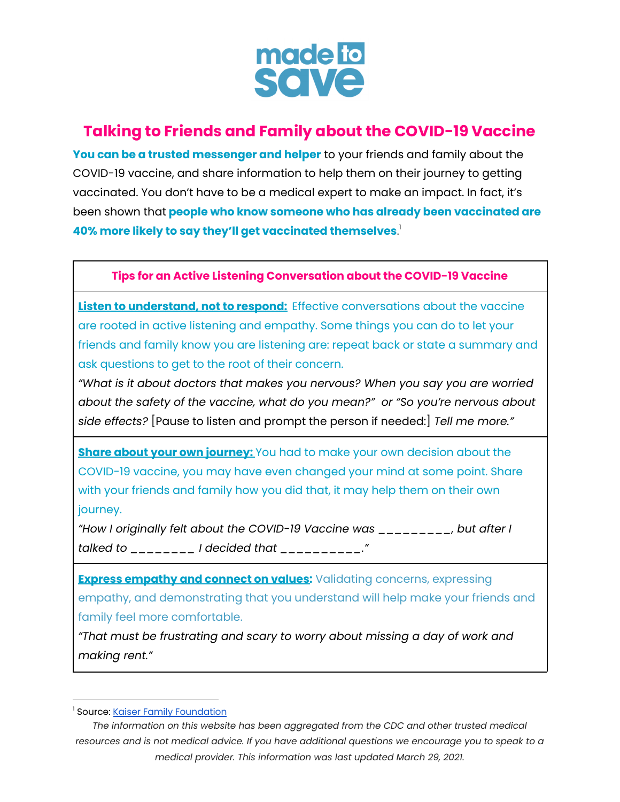

## **Talking to Friends and Family about the COVID-19 Vaccine**

**You can be a trusted messenger and helper** to your friends and family about the COVID-19 vaccine, and share information to help them on their journey to getting vaccinated. You don't have to be a medical expert to make an impact. In fact, it's been shown that **people who know someone who has already been vaccinated are 40% more likely to say they'll get vaccinated themselves**. 1

**Tips for an Active Listening Conversation about the COVID-19 Vaccine**

**Listen to understand, not to respond:** Effective conversations about the vaccine are rooted in active listening and empathy. Some things you can do to let your friends and family know you are listening are: repeat back or state a summary and ask questions to get to the root of their concern.

*"What is it about doctors that makes you nervous? When you say you are worried about the safety of the vaccine, what do you mean?" or "So you're nervous about side effects?* [Pause to listen and prompt the person if needed:] *Tell me more."*

**Share about your own journey:** You had to make your own decision about the COVID-19 vaccine, you may have even changed your mind at some point. Share with your friends and family how you did that, it may help them on their own journey.

*"How I originally felt about the COVID-19 Vaccine was \_\_\_\_\_\_\_\_\_, but after I talked to \_\_\_\_\_\_\_\_ I decided that \_\_\_\_\_\_\_\_\_\_."*

**Express empathy and connect on values:** Validating concerns, expressing empathy, and demonstrating that you understand will help make your friends and family feel more comfortable.

*"That must be frustrating and scary to worry about missing a day of work and making rent."*

<sup>&</sup>lt;sup>1</sup> Source: Kaiser Family [Foundation](https://www.kff.org/coronavirus-covid-19/perspective/seeing-others-vaccinated-may-be-the-best-cure-for-vaccine-hesitancy/)

*The information on this website has been aggregated from the CDC and other trusted medical* resources and is not medical advice. If you have additional questions we encourage you to speak to a *medical provider. This information was last updated March 29, 2021.*